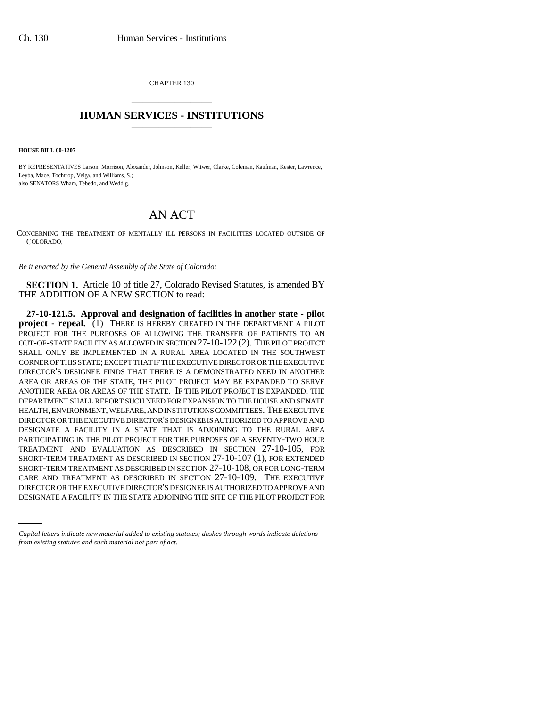CHAPTER 130 \_\_\_\_\_\_\_\_\_\_\_\_\_\_\_

## **HUMAN SERVICES - INSTITUTIONS** \_\_\_\_\_\_\_\_\_\_\_\_\_\_\_

**HOUSE BILL 00-1207** 

BY REPRESENTATIVES Larson, Morrison, Alexander, Johnson, Keller, Witwer, Clarke, Coleman, Kaufman, Kester, Lawrence, Leyba, Mace, Tochtrop, Veiga, and Williams, S.; also SENATORS Wham, Tebedo, and Weddig.

## AN ACT

CONCERNING THE TREATMENT OF MENTALLY ILL PERSONS IN FACILITIES LOCATED OUTSIDE OF COLORADO.

*Be it enacted by the General Assembly of the State of Colorado:*

**SECTION 1.** Article 10 of title 27, Colorado Revised Statutes, is amended BY THE ADDITION OF A NEW SECTION to read:

CARE AND TREATMENT AS DESCRIBED IN SECTION 27-10-109. THE EXECUTIVE **27-10-121.5. Approval and designation of facilities in another state - pilot project - repeal.** (1) THERE IS HEREBY CREATED IN THE DEPARTMENT A PILOT PROJECT FOR THE PURPOSES OF ALLOWING THE TRANSFER OF PATIENTS TO AN OUT-OF-STATE FACILITY AS ALLOWED IN SECTION 27-10-122 (2). THE PILOT PROJECT SHALL ONLY BE IMPLEMENTED IN A RURAL AREA LOCATED IN THE SOUTHWEST CORNER OF THIS STATE; EXCEPT THAT IF THE EXECUTIVE DIRECTOR OR THE EXECUTIVE DIRECTOR'S DESIGNEE FINDS THAT THERE IS A DEMONSTRATED NEED IN ANOTHER AREA OR AREAS OF THE STATE, THE PILOT PROJECT MAY BE EXPANDED TO SERVE ANOTHER AREA OR AREAS OF THE STATE. IF THE PILOT PROJECT IS EXPANDED, THE DEPARTMENT SHALL REPORT SUCH NEED FOR EXPANSION TO THE HOUSE AND SENATE HEALTH, ENVIRONMENT, WELFARE, AND INSTITUTIONS COMMITTEES. THE EXECUTIVE DIRECTOR OR THE EXECUTIVE DIRECTOR'S DESIGNEE IS AUTHORIZED TO APPROVE AND DESIGNATE A FACILITY IN A STATE THAT IS ADJOINING TO THE RURAL AREA PARTICIPATING IN THE PILOT PROJECT FOR THE PURPOSES OF A SEVENTY-TWO HOUR TREATMENT AND EVALUATION AS DESCRIBED IN SECTION 27-10-105, FOR SHORT-TERM TREATMENT AS DESCRIBED IN SECTION 27-10-107 (1), FOR EXTENDED SHORT-TERM TREATMENT AS DESCRIBED IN SECTION 27-10-108, OR FOR LONG-TERM DIRECTOR OR THE EXECUTIVE DIRECTOR'S DESIGNEE IS AUTHORIZED TO APPROVE AND DESIGNATE A FACILITY IN THE STATE ADJOINING THE SITE OF THE PILOT PROJECT FOR

*Capital letters indicate new material added to existing statutes; dashes through words indicate deletions from existing statutes and such material not part of act.*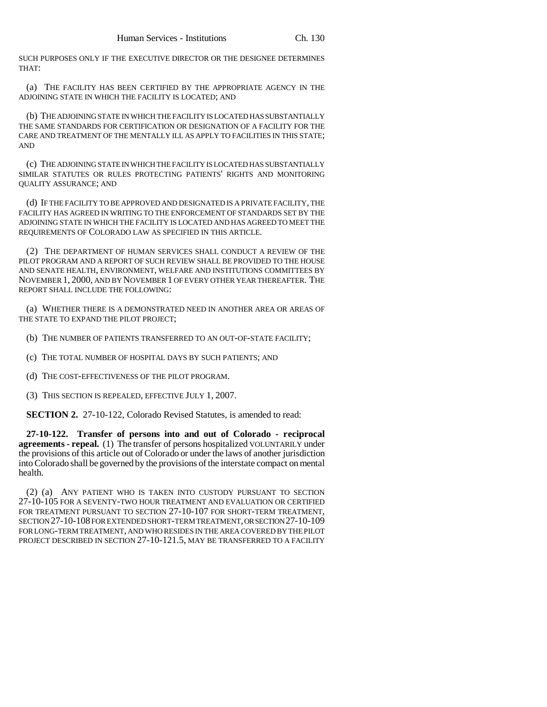SUCH PURPOSES ONLY IF THE EXECUTIVE DIRECTOR OR THE DESIGNEE DETERMINES THAT:

(a) THE FACILITY HAS BEEN CERTIFIED BY THE APPROPRIATE AGENCY IN THE ADJOINING STATE IN WHICH THE FACILITY IS LOCATED; AND

(b) THE ADJOINING STATE IN WHICH THE FACILITY IS LOCATED HAS SUBSTANTIALLY THE SAME STANDARDS FOR CERTIFICATION OR DESIGNATION OF A FACILITY FOR THE CARE AND TREATMENT OF THE MENTALLY ILL AS APPLY TO FACILITIES IN THIS STATE; AND

(c) THE ADJOINING STATE IN WHICH THE FACILITY IS LOCATED HAS SUBSTANTIALLY SIMILAR STATUTES OR RULES PROTECTING PATIENTS' RIGHTS AND MONITORING QUALITY ASSURANCE; AND

(d) IF THE FACILITY TO BE APPROVED AND DESIGNATED IS A PRIVATE FACILITY, THE FACILITY HAS AGREED IN WRITING TO THE ENFORCEMENT OF STANDARDS SET BY THE ADJOINING STATE IN WHICH THE FACILITY IS LOCATED AND HAS AGREED TO MEET THE REQUIREMENTS OF COLORADO LAW AS SPECIFIED IN THIS ARTICLE.

(2) THE DEPARTMENT OF HUMAN SERVICES SHALL CONDUCT A REVIEW OF THE PILOT PROGRAM AND A REPORT OF SUCH REVIEW SHALL BE PROVIDED TO THE HOUSE AND SENATE HEALTH, ENVIRONMENT, WELFARE AND INSTITUTIONS COMMITTEES BY NOVEMBER 1, 2000, AND BY NOVEMBER 1 OF EVERY OTHER YEAR THEREAFTER. THE REPORT SHALL INCLUDE THE FOLLOWING:

(a) WHETHER THERE IS A DEMONSTRATED NEED IN ANOTHER AREA OR AREAS OF THE STATE TO EXPAND THE PILOT PROJECT;

(b) THE NUMBER OF PATIENTS TRANSFERRED TO AN OUT-OF-STATE FACILITY;

(c) THE TOTAL NUMBER OF HOSPITAL DAYS BY SUCH PATIENTS; AND

(d) THE COST-EFFECTIVENESS OF THE PILOT PROGRAM.

(3) THIS SECTION IS REPEALED, EFFECTIVE JULY 1, 2007.

**SECTION 2.** 27-10-122, Colorado Revised Statutes, is amended to read:

**27-10-122. Transfer of persons into and out of Colorado - reciprocal agreements - repeal.** (1) The transfer of persons hospitalized VOLUNTARILY under the provisions of this article out of Colorado or under the laws of another jurisdiction into Colorado shall be governed by the provisions of the interstate compact on mental health.

(2) (a) ANY PATIENT WHO IS TAKEN INTO CUSTODY PURSUANT TO SECTION 27-10-105 FOR A SEVENTY-TWO HOUR TREATMENT AND EVALUATION OR CERTIFIED FOR TREATMENT PURSUANT TO SECTION 27-10-107 FOR SHORT-TERM TREATMENT, SECTION 27-10-108 FOR EXTENDED SHORT-TERM TREATMENT, OR SECTION 27-10-109 FOR LONG-TERM TREATMENT, AND WHO RESIDES IN THE AREA COVERED BY THE PILOT PROJECT DESCRIBED IN SECTION 27-10-121.5, MAY BE TRANSFERRED TO A FACILITY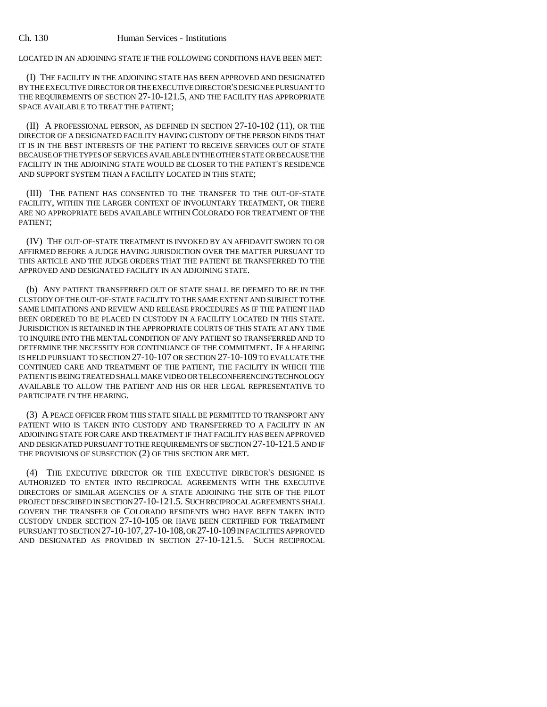LOCATED IN AN ADJOINING STATE IF THE FOLLOWING CONDITIONS HAVE BEEN MET:

(I) THE FACILITY IN THE ADJOINING STATE HAS BEEN APPROVED AND DESIGNATED BY THE EXECUTIVE DIRECTOR OR THE EXECUTIVE DIRECTOR'S DESIGNEE PURSUANT TO THE REQUIREMENTS OF SECTION 27-10-121.5, AND THE FACILITY HAS APPROPRIATE SPACE AVAILABLE TO TREAT THE PATIENT;

(II) A PROFESSIONAL PERSON, AS DEFINED IN SECTION 27-10-102 (11), OR THE DIRECTOR OF A DESIGNATED FACILITY HAVING CUSTODY OF THE PERSON FINDS THAT IT IS IN THE BEST INTERESTS OF THE PATIENT TO RECEIVE SERVICES OUT OF STATE BECAUSE OF THE TYPES OF SERVICES AVAILABLE IN THE OTHER STATE OR BECAUSE THE FACILITY IN THE ADJOINING STATE WOULD BE CLOSER TO THE PATIENT'S RESIDENCE AND SUPPORT SYSTEM THAN A FACILITY LOCATED IN THIS STATE;

(III) THE PATIENT HAS CONSENTED TO THE TRANSFER TO THE OUT-OF-STATE FACILITY, WITHIN THE LARGER CONTEXT OF INVOLUNTARY TREATMENT, OR THERE ARE NO APPROPRIATE BEDS AVAILABLE WITHIN COLORADO FOR TREATMENT OF THE PATIENT;

(IV) THE OUT-OF-STATE TREATMENT IS INVOKED BY AN AFFIDAVIT SWORN TO OR AFFIRMED BEFORE A JUDGE HAVING JURISDICTION OVER THE MATTER PURSUANT TO THIS ARTICLE AND THE JUDGE ORDERS THAT THE PATIENT BE TRANSFERRED TO THE APPROVED AND DESIGNATED FACILITY IN AN ADJOINING STATE.

(b) ANY PATIENT TRANSFERRED OUT OF STATE SHALL BE DEEMED TO BE IN THE CUSTODY OF THE OUT-OF-STATE FACILITY TO THE SAME EXTENT AND SUBJECT TO THE SAME LIMITATIONS AND REVIEW AND RELEASE PROCEDURES AS IF THE PATIENT HAD BEEN ORDERED TO BE PLACED IN CUSTODY IN A FACILITY LOCATED IN THIS STATE. JURISDICTION IS RETAINED IN THE APPROPRIATE COURTS OF THIS STATE AT ANY TIME TO INQUIRE INTO THE MENTAL CONDITION OF ANY PATIENT SO TRANSFERRED AND TO DETERMINE THE NECESSITY FOR CONTINUANCE OF THE COMMITMENT. IF A HEARING IS HELD PURSUANT TO SECTION 27-10-107 OR SECTION 27-10-109 TO EVALUATE THE CONTINUED CARE AND TREATMENT OF THE PATIENT, THE FACILITY IN WHICH THE PATIENT IS BEING TREATED SHALL MAKE VIDEO OR TELECONFERENCING TECHNOLOGY AVAILABLE TO ALLOW THE PATIENT AND HIS OR HER LEGAL REPRESENTATIVE TO PARTICIPATE IN THE HEARING.

(3) A PEACE OFFICER FROM THIS STATE SHALL BE PERMITTED TO TRANSPORT ANY PATIENT WHO IS TAKEN INTO CUSTODY AND TRANSFERRED TO A FACILITY IN AN ADJOINING STATE FOR CARE AND TREATMENT IF THAT FACILITY HAS BEEN APPROVED AND DESIGNATED PURSUANT TO THE REQUIREMENTS OF SECTION 27-10-121.5 AND IF THE PROVISIONS OF SUBSECTION (2) OF THIS SECTION ARE MET.

(4) THE EXECUTIVE DIRECTOR OR THE EXECUTIVE DIRECTOR'S DESIGNEE IS AUTHORIZED TO ENTER INTO RECIPROCAL AGREEMENTS WITH THE EXECUTIVE DIRECTORS OF SIMILAR AGENCIES OF A STATE ADJOINING THE SITE OF THE PILOT PROJECT DESCRIBED IN SECTION 27-10-121.5. SUCH RECIPROCAL AGREEMENTS SHALL GOVERN THE TRANSFER OF COLORADO RESIDENTS WHO HAVE BEEN TAKEN INTO CUSTODY UNDER SECTION 27-10-105 OR HAVE BEEN CERTIFIED FOR TREATMENT PURSUANT TO SECTION 27-10-107,27-10-108, OR 27-10-109 IN FACILITIES APPROVED AND DESIGNATED AS PROVIDED IN SECTION 27-10-121.5. SUCH RECIPROCAL